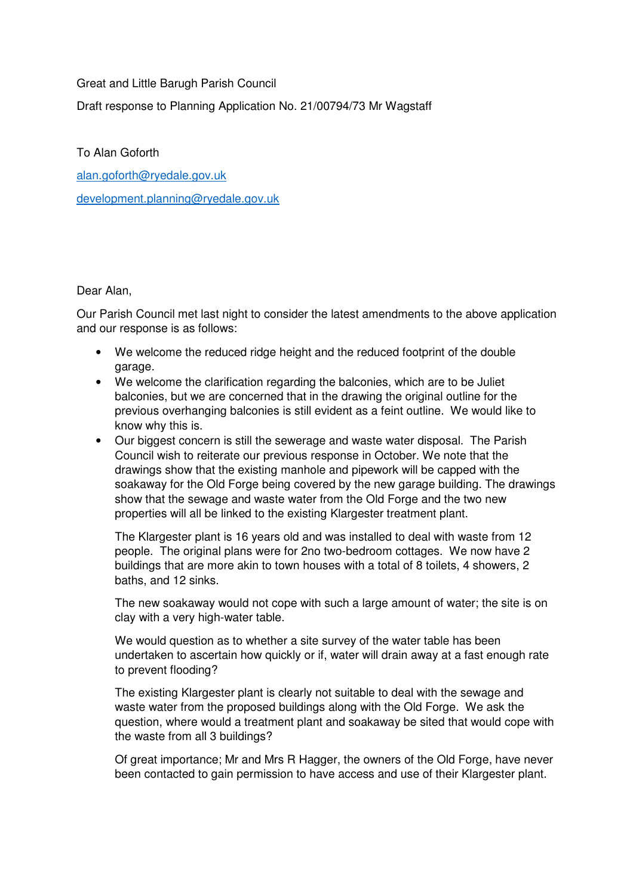Great and Little Barugh Parish Council

Draft response to Planning Application No. 21/00794/73 Mr Wagstaff

To Alan Goforth

alan.goforth@ryedale.gov.uk development.planning@ryedale.gov.uk

Dear Alan,

Our Parish Council met last night to consider the latest amendments to the above application and our response is as follows:

- We welcome the reduced ridge height and the reduced footprint of the double garage.
- We welcome the clarification regarding the balconies, which are to be Juliet balconies, but we are concerned that in the drawing the original outline for the previous overhanging balconies is still evident as a feint outline. We would like to know why this is.
- Our biggest concern is still the sewerage and waste water disposal. The Parish Council wish to reiterate our previous response in October. We note that the drawings show that the existing manhole and pipework will be capped with the soakaway for the Old Forge being covered by the new garage building. The drawings show that the sewage and waste water from the Old Forge and the two new properties will all be linked to the existing Klargester treatment plant.

The Klargester plant is 16 years old and was installed to deal with waste from 12 people. The original plans were for 2no two-bedroom cottages. We now have 2 buildings that are more akin to town houses with a total of 8 toilets, 4 showers, 2 baths, and 12 sinks.

The new soakaway would not cope with such a large amount of water; the site is on clay with a very high-water table.

We would question as to whether a site survey of the water table has been undertaken to ascertain how quickly or if, water will drain away at a fast enough rate to prevent flooding?

The existing Klargester plant is clearly not suitable to deal with the sewage and waste water from the proposed buildings along with the Old Forge. We ask the question, where would a treatment plant and soakaway be sited that would cope with the waste from all 3 buildings?

Of great importance; Mr and Mrs R Hagger, the owners of the Old Forge, have never been contacted to gain permission to have access and use of their Klargester plant.